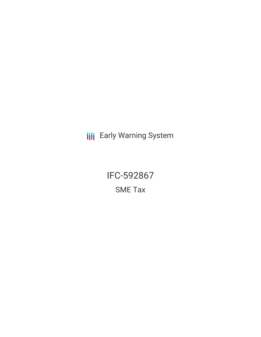**III** Early Warning System

IFC-592867 SME Tax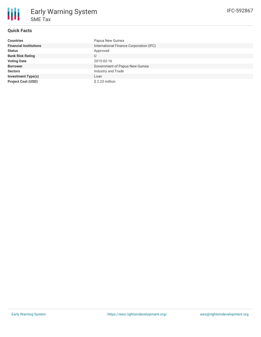# **Quick Facts**

| <b>Countries</b>              | Papua New Guinea                        |
|-------------------------------|-----------------------------------------|
| <b>Financial Institutions</b> | International Finance Corporation (IFC) |
| <b>Status</b>                 | Approved                                |
| <b>Bank Risk Rating</b>       | U                                       |
| <b>Voting Date</b>            | 2015-02-16                              |
| <b>Borrower</b>               | Government of Papua New Guinea          |
| <b>Sectors</b>                | Industry and Trade                      |
| <b>Investment Type(s)</b>     | Loan                                    |
| <b>Project Cost (USD)</b>     | \$2.23 million                          |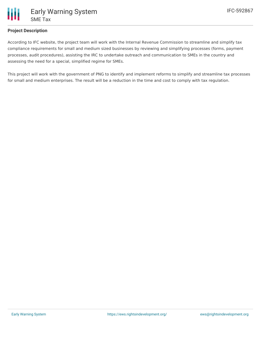

# **Project Description**

According to IFC website, the project team will work with the Internal Revenue Commission to streamline and simplify tax compliance requirements for small and medium sized businesses by reviewing and simplifying processes (forms, payment processes, audit procedures), assisting the IRC to undertake outreach and communication to SMEs in the country and assessing the need for a special, simplified regime for SMEs.

This project will work with the government of PNG to identify and implement reforms to simplify and streamline tax processes for small and medium enterprises. The result will be a reduction in the time and cost to comply with tax regulation.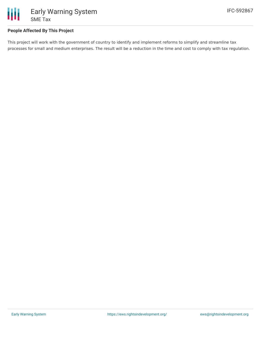

# **People Affected By This Project**

This project will work with the government of country to identify and implement reforms to simplify and streamline tax processes for small and medium enterprises. The result will be a reduction in the time and cost to comply with tax regulation.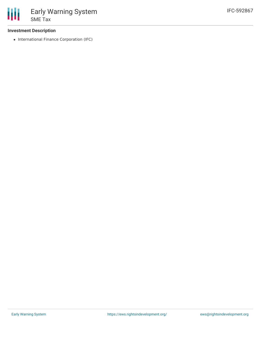## **Investment Description**

• International Finance Corporation (IFC)